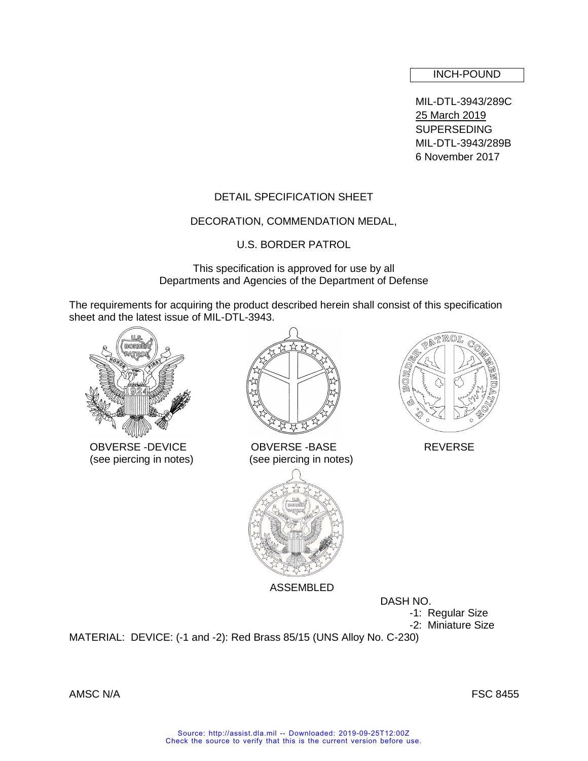### INCH-POUND

MIL-DTL-3943/289C 25 March 2019 **SUPERSEDING** MIL-DTL-3943/289B 6 November 2017

# DETAIL SPECIFICATION SHEET

#### DECORATION, COMMENDATION MEDAL,

U.S. BORDER PATROL

This specification is approved for use by all Departments and Agencies of the Department of Defense

The requirements for acquiring the product described herein shall consist of this specification sheet and the latest issue of MIL-DTL-3943.



OBVERSE -DEVICE OBVERSE -BASE REVERSE



(see piercing in notes) (see piercing in notes)



ASSEMBLED

DASH NO.

-1: Regular Size

-2: Miniature Size

MATERIAL: DEVICE: (-1 and -2): Red Brass 85/15 (UNS Alloy No. C-230)

AMSC N/A FSC 8455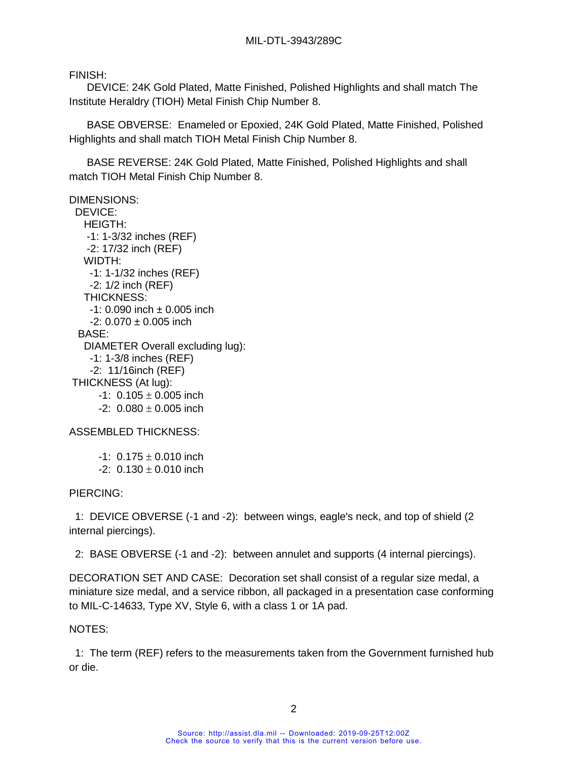FINISH:

 DEVICE: 24K Gold Plated, Matte Finished, Polished Highlights and shall match The Institute Heraldry (TIOH) Metal Finish Chip Number 8.

 BASE OBVERSE: Enameled or Epoxied, 24K Gold Plated, Matte Finished, Polished Highlights and shall match TIOH Metal Finish Chip Number 8.

 BASE REVERSE: 24K Gold Plated, Matte Finished, Polished Highlights and shall match TIOH Metal Finish Chip Number 8.

DIMENSIONS: DEVICE: HEIGTH: -1: 1-3/32 inches (REF) -2: 17/32 inch (REF) WIDTH: -1: 1-1/32 inches (REF) -2: 1/2 inch (REF) THICKNESS:  $-1: 0.090$  inch  $\pm 0.005$  inch  $-2: 0.070 \pm 0.005$  inch BASE: DIAMETER Overall excluding lug): -1: 1-3/8 inches (REF) -2: 11/16inch (REF) THICKNESS (At lug):  $-1: 0.105 \pm 0.005$  inch  $-2: 0.080 + 0.005$  inch

ASSEMBLED THICKNESS:

 $-1: 0.175 \pm 0.010$  inch  $-2: 0.130 \pm 0.010$  inch

PIERCING:

 1: DEVICE OBVERSE (-1 and -2): between wings, eagle's neck, and top of shield (2 internal piercings).

2: BASE OBVERSE (-1 and -2): between annulet and supports (4 internal piercings).

DECORATION SET AND CASE: Decoration set shall consist of a regular size medal, a miniature size medal, and a service ribbon, all packaged in a presentation case conforming to MIL-C-14633, Type XV, Style 6, with a class 1 or 1A pad.

NOTES:

 1: The term (REF) refers to the measurements taken from the Government furnished hub or die.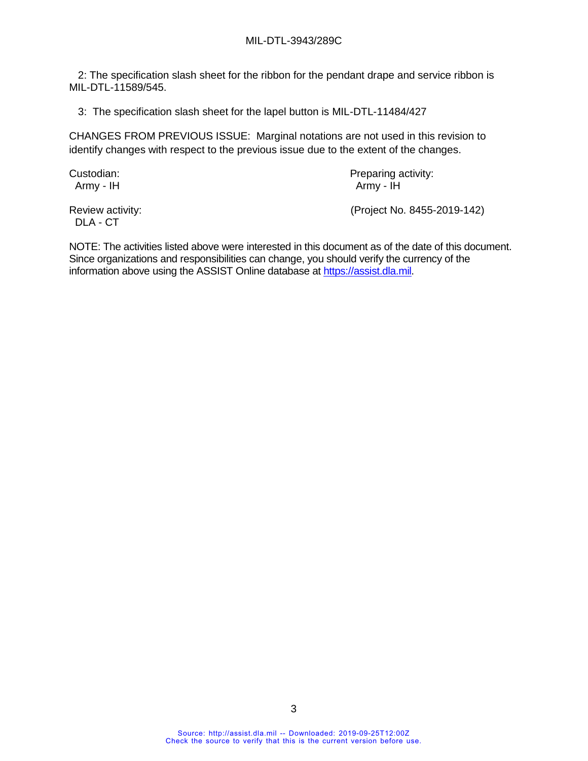2: The specification slash sheet for the ribbon for the pendant drape and service ribbon is MIL-DTL-11589/545.

3: The specification slash sheet for the lapel button is MIL-DTL-11484/427

CHANGES FROM PREVIOUS ISSUE: Marginal notations are not used in this revision to identify changes with respect to the previous issue due to the extent of the changes.

Army - IH Army - IH

Custodian: Custodian: Preparing activity:

DLA - CT

Review activity: (Project No. 8455-2019-142)

NOTE: The activities listed above were interested in this document as of the date of this document. Since organizations and responsibilities can change, you should verify the currency of the information above using the ASSIST Online database at [https://assist.dla.mil.](https://assist.dla.mil/)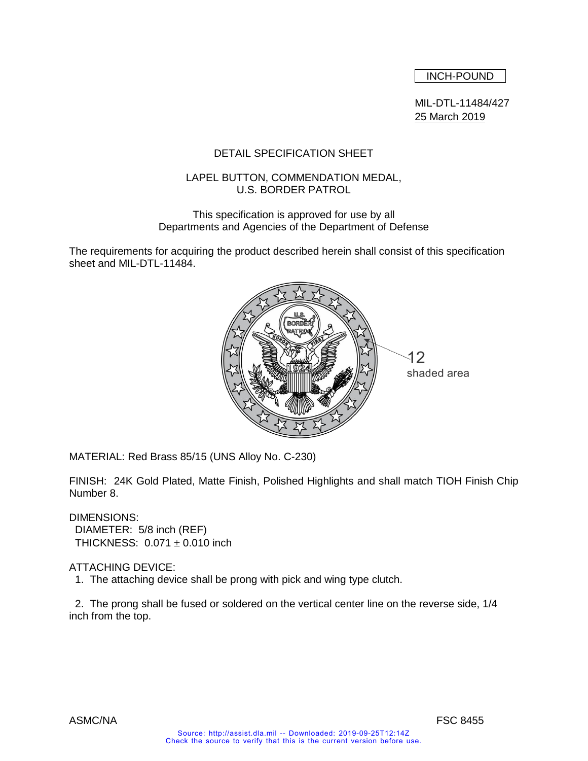INCH-POUND

MIL-DTL-11484/427 25 March 2019

# DETAIL SPECIFICATION SHEET

### LAPEL BUTTON, COMMENDATION MEDAL, U.S. BORDER PATROL

#### This specification is approved for use by all Departments and Agencies of the Department of Defense

The requirements for acquiring the product described herein shall consist of this specification sheet and MIL-DTL-11484.



MATERIAL: Red Brass 85/15 (UNS Alloy No. C-230)

FINISH: 24K Gold Plated, Matte Finish, Polished Highlights and shall match TIOH Finish Chip Number 8.

DIMENSIONS: DIAMETER: 5/8 inch (REF) THICKNESS:  $0.071 \pm 0.010$  inch

# ATTACHING DEVICE:

1. The attaching device shall be prong with pick and wing type clutch.

 2. The prong shall be fused or soldered on the vertical center line on the reverse side, 1/4 inch from the top.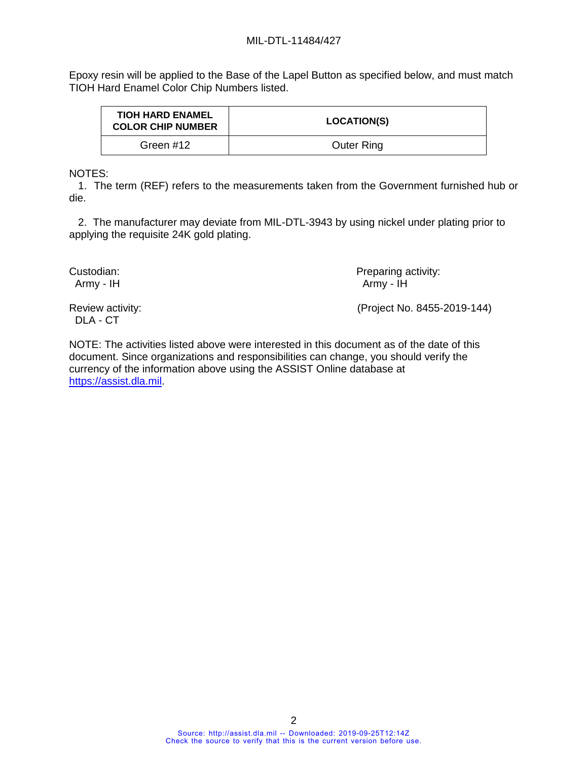### MIL-DTL-11484/427

Epoxy resin will be applied to the Base of the Lapel Button as specified below, and must match TIOH Hard Enamel Color Chip Numbers listed.

| <b>TIOH HARD ENAMEL</b><br><b>COLOR CHIP NUMBER</b> | <b>LOCATION(S)</b> |
|-----------------------------------------------------|--------------------|
| Green #12                                           | <b>Outer Ring</b>  |

NOTES:

 1. The term (REF) refers to the measurements taken from the Government furnished hub or die.

 2. The manufacturer may deviate from MIL-DTL-3943 by using nickel under plating prior to applying the requisite 24K gold plating.

Custodian: **Preparing activity:** Preparing activity: Army - IH Army - IH

DLA - CT

Review activity: (Project No. 8455-2019-144)

NOTE: The activities listed above were interested in this document as of the date of this document. Since organizations and responsibilities can change, you should verify the currency of the information above using the ASSIST Online database at [https://assist.dla.mil.](https://assist.dla.mil/)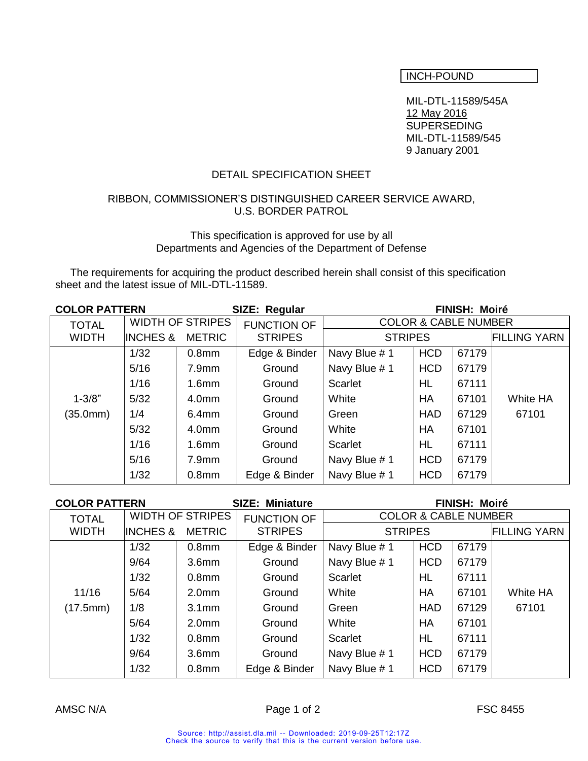# INCH-POUND

MIL-DTL-11589/545A 12 May 2016 SUPERSEDING MIL-DTL-11589/545 9 January 2001

## DETAIL SPECIFICATION SHEET

#### RIBBON, COMMISSIONER'S DISTINGUISHED CAREER SERVICE AWARD, U.S. BORDER PATROL

#### This specification is approved for use by all Departments and Agencies of the Department of Defense

 The requirements for acquiring the product described herein shall consist of this specification sheet and the latest issue of MIL-DTL-11589.

| <b>COLOR PATTERN</b> |                                      | SIZE: Regular           |                    | <b>FINISH: Moiré</b>            |            |       |                     |  |
|----------------------|--------------------------------------|-------------------------|--------------------|---------------------------------|------------|-------|---------------------|--|
| <b>TOTAL</b>         |                                      | <b>WIDTH OF STRIPES</b> | <b>FUNCTION OF</b> | <b>COLOR &amp; CABLE NUMBER</b> |            |       |                     |  |
| <b>WIDTH</b>         | <b>INCHES &amp;</b><br><b>METRIC</b> |                         | <b>STRIPES</b>     | <b>STRIPES</b>                  |            |       | <b>FILLING YARN</b> |  |
|                      | 1/32                                 | 0.8 <sub>mm</sub>       | Edge & Binder      | Navy Blue #1                    | <b>HCD</b> | 67179 |                     |  |
|                      | 5/16                                 | 7.9 <sub>mm</sub>       | Ground             | Navy Blue #1                    | <b>HCD</b> | 67179 |                     |  |
|                      | 1/16                                 | 1.6 <sub>mm</sub>       | Ground             | Scarlet                         | <b>HL</b>  | 67111 |                     |  |
| $1 - 3/8"$           | 5/32                                 | 4.0 <sub>mm</sub>       | Ground             | White                           | <b>HA</b>  | 67101 | White HA            |  |
| (35.0mm)             | 1/4                                  | 6.4 <sub>mm</sub>       | Ground             | Green                           | <b>HAD</b> | 67129 | 67101               |  |
|                      | $5/32$                               | 4.0 <sub>mm</sub>       | Ground             | White                           | HA         | 67101 |                     |  |
|                      | 1/16                                 | 1.6 <sub>mm</sub>       | Ground             | Scarlet                         | HL         | 67111 |                     |  |
|                      | 5/16                                 | 7.9 <sub>mm</sub>       | Ground             | Navy Blue #1                    | <b>HCD</b> | 67179 |                     |  |
|                      | 1/32                                 | 0.8 <sub>mm</sub>       | Edge & Binder      | Navy Blue #1                    | <b>HCD</b> | 67179 |                     |  |

| <b>COLOR PATTERN</b> |                     |                                                                                  | <b>SIZE: Miniature</b> | <b>FINISH: Moiré</b> |            |       |                     |
|----------------------|---------------------|----------------------------------------------------------------------------------|------------------------|----------------------|------------|-------|---------------------|
| <b>TOTAL</b>         |                     | <b>WIDTH OF STRIPES</b><br><b>COLOR &amp; CABLE NUMBER</b><br><b>FUNCTION OF</b> |                        |                      |            |       |                     |
| <b>WIDTH</b>         | <b>INCHES &amp;</b> | <b>METRIC</b>                                                                    | <b>STRIPES</b>         | <b>STRIPES</b>       |            |       | <b>FILLING YARN</b> |
|                      | 1/32                | 0.8 <sub>mm</sub>                                                                | Edge & Binder          | Navy Blue #1         | <b>HCD</b> | 67179 |                     |
|                      | 9/64                | 3.6 <sub>mm</sub>                                                                | Ground                 | Navy Blue #1         | <b>HCD</b> | 67179 |                     |
|                      | 1/32                | 0.8 <sub>mm</sub>                                                                | Ground                 | <b>Scarlet</b>       | HL         | 67111 |                     |
| 11/16                | 5/64                | 2.0 <sub>mm</sub>                                                                | Ground                 | White                | HA         | 67101 | White HA            |
| (17.5mm)             | 1/8                 | 3.1 <sub>mm</sub>                                                                | Ground                 | Green                | <b>HAD</b> | 67129 | 67101               |
|                      | 5/64                | 2.0 <sub>mm</sub>                                                                | Ground                 | White                | HA         | 67101 |                     |
|                      | 1/32                | 0.8 <sub>mm</sub>                                                                | Ground                 | Scarlet              | HL         | 67111 |                     |
|                      | 9/64                | 3.6 <sub>mm</sub>                                                                | Ground                 | Navy Blue #1         | <b>HCD</b> | 67179 |                     |
|                      | 1/32                | 0.8 <sub>mm</sub>                                                                | Edge & Binder          | Navy Blue #1         | <b>HCD</b> | 67179 |                     |